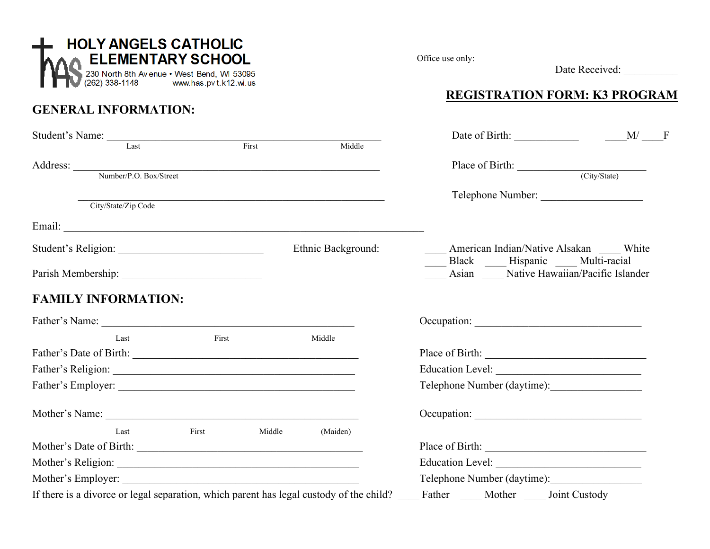

## **GENERAL INFORMATION:**

Office use only:

Date Received:

## **REGISTRATION FORM: K3 PROGRAM**

| Student's Name: Last First                                                              |       |        |                    |  | Date of Birth: $M/\sim$                                               |  |  |
|-----------------------------------------------------------------------------------------|-------|--------|--------------------|--|-----------------------------------------------------------------------|--|--|
|                                                                                         |       |        | Middle             |  |                                                                       |  |  |
|                                                                                         |       |        |                    |  |                                                                       |  |  |
| Address: Number/P.O. Box/Street                                                         |       |        |                    |  | Place of Birth: <u>City/State</u>                                     |  |  |
|                                                                                         |       |        |                    |  | Telephone Number:                                                     |  |  |
| City/State/Zip Code                                                                     |       |        |                    |  |                                                                       |  |  |
|                                                                                         |       |        |                    |  |                                                                       |  |  |
|                                                                                         |       |        | Ethnic Background: |  | American Indian/Native Alsakan ____ White                             |  |  |
|                                                                                         |       |        |                    |  | Black Hispanic Multi-racial<br>Asian Native Hawaiian/Pacific Islander |  |  |
| <b>FAMILY INFORMATION:</b>                                                              |       |        |                    |  |                                                                       |  |  |
|                                                                                         |       |        |                    |  |                                                                       |  |  |
| Last                                                                                    | First |        | Middle             |  |                                                                       |  |  |
|                                                                                         |       |        |                    |  |                                                                       |  |  |
|                                                                                         |       |        |                    |  |                                                                       |  |  |
|                                                                                         |       |        |                    |  | Telephone Number (daytime):                                           |  |  |
|                                                                                         |       |        |                    |  |                                                                       |  |  |
| Last                                                                                    | First | Middle | (Maiden)           |  |                                                                       |  |  |
|                                                                                         |       |        |                    |  |                                                                       |  |  |
|                                                                                         |       |        |                    |  |                                                                       |  |  |
|                                                                                         |       |        |                    |  | Telephone Number (daytime):                                           |  |  |
| If there is a divorce or legal separation, which parent has legal custody of the child? |       |        |                    |  | Father Mother Joint Custody                                           |  |  |